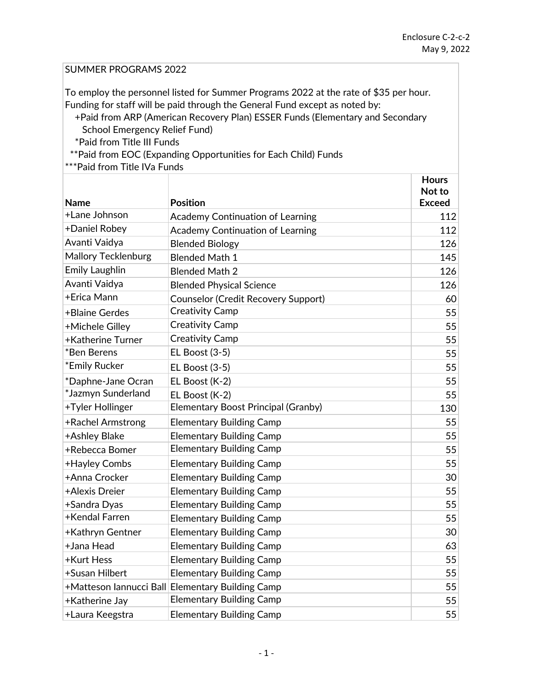## SUMMER PROGRAMS 2022

To employ the personnel listed for Summer Programs 2022 at the rate of \$35 per hour. Funding for staff will be paid through the General Fund except as noted by:

 +Paid from ARP (American Recovery Plan) ESSER Funds (Elementary and Secondary School Emergency Relief Fund)

\*Paid from Title III Funds

\*\*Paid from EOC (Expanding Opportunities for Each Child) Funds

\*\*\*Paid from Title IVa Funds

|                            |                                                  | <b>Hours</b><br>Not to |
|----------------------------|--------------------------------------------------|------------------------|
| <b>Name</b>                | <b>Position</b>                                  | <b>Exceed</b>          |
| +Lane Johnson              | Academy Continuation of Learning                 | 112                    |
| +Daniel Robey              | <b>Academy Continuation of Learning</b>          | 112                    |
| Avanti Vaidya              | <b>Blended Biology</b>                           | 126                    |
| <b>Mallory Tecklenburg</b> | <b>Blended Math 1</b>                            | 145                    |
| <b>Emily Laughlin</b>      | <b>Blended Math 2</b>                            | 126                    |
| Avanti Vaidya              | <b>Blended Physical Science</b>                  | 126                    |
| +Erica Mann                | <b>Counselor (Credit Recovery Support)</b>       | 60                     |
| +Blaine Gerdes             | <b>Creativity Camp</b>                           | 55                     |
| +Michele Gilley            | <b>Creativity Camp</b>                           | 55                     |
| <b>+Katherine Turner</b>   | <b>Creativity Camp</b>                           | 55                     |
| *Ben Berens                | <b>EL Boost (3-5)</b>                            | 55                     |
| *Emily Rucker              | <b>EL Boost (3-5)</b>                            | 55                     |
| *Daphne-Jane Ocran         | EL Boost (K-2)                                   | 55                     |
| *Jazmyn Sunderland         | EL Boost (K-2)                                   | 55                     |
| +Tyler Hollinger           | Elementary Boost Principal (Granby)              | 130                    |
| +Rachel Armstrong          | <b>Elementary Building Camp</b>                  | 55                     |
| +Ashley Blake              | <b>Elementary Building Camp</b>                  | 55                     |
| +Rebecca Bomer             | <b>Elementary Building Camp</b>                  | 55                     |
| +Hayley Combs              | <b>Elementary Building Camp</b>                  | 55                     |
| +Anna Crocker              | <b>Elementary Building Camp</b>                  | 30                     |
| +Alexis Dreier             | <b>Elementary Building Camp</b>                  | 55                     |
| +Sandra Dyas               | <b>Elementary Building Camp</b>                  | 55                     |
| +Kendal Farren             | <b>Elementary Building Camp</b>                  | 55                     |
| +Kathryn Gentner           | <b>Elementary Building Camp</b>                  | 30                     |
| +Jana Head                 | <b>Elementary Building Camp</b>                  | 63                     |
| +Kurt Hess                 | <b>Elementary Building Camp</b>                  | 55                     |
| +Susan Hilbert             | <b>Elementary Building Camp</b>                  | 55                     |
|                            | +Matteson lannucci Ball Elementary Building Camp | 55                     |
| +Katherine Jay             | <b>Elementary Building Camp</b>                  | 55                     |
| +Laura Keegstra            | <b>Elementary Building Camp</b>                  | 55                     |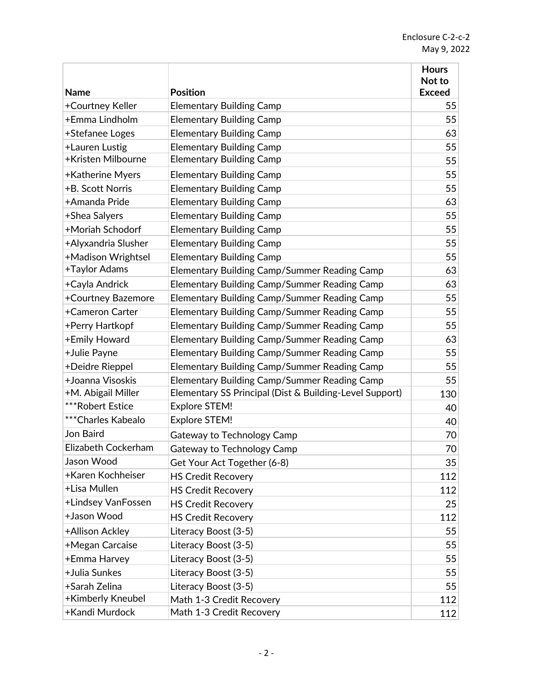|                     |                                                         | <b>Hours</b><br>Not to |
|---------------------|---------------------------------------------------------|------------------------|
| <b>Name</b>         | <b>Position</b>                                         | <b>Exceed</b>          |
| +Courtney Keller    | <b>Elementary Building Camp</b>                         | 55                     |
| +Emma Lindholm      | <b>Elementary Building Camp</b>                         | 55                     |
| +Stefanee Loges     | <b>Elementary Building Camp</b>                         | 63                     |
| +Lauren Lustig      | <b>Elementary Building Camp</b>                         | 55                     |
| +Kristen Milbourne  | <b>Elementary Building Camp</b>                         | 55                     |
| +Katherine Myers    | <b>Elementary Building Camp</b>                         | 55                     |
| +B. Scott Norris    | <b>Elementary Building Camp</b>                         | 55                     |
| +Amanda Pride       | <b>Elementary Building Camp</b>                         | 63                     |
| +Shea Salyers       | <b>Elementary Building Camp</b>                         | 55                     |
| +Moriah Schodorf    | <b>Elementary Building Camp</b>                         | 55                     |
| +Alyxandria Slusher | <b>Elementary Building Camp</b>                         | 55                     |
| +Madison Wrightsel  | <b>Elementary Building Camp</b>                         | 55                     |
| +Taylor Adams       | Elementary Building Camp/Summer Reading Camp            | 63                     |
| +Cayla Andrick      | <b>Elementary Building Camp/Summer Reading Camp</b>     | 63                     |
| +Courtney Bazemore  | <b>Elementary Building Camp/Summer Reading Camp</b>     | 55                     |
| +Cameron Carter     | Elementary Building Camp/Summer Reading Camp            | 55                     |
| +Perry Hartkopf     | Elementary Building Camp/Summer Reading Camp            | 55                     |
| +Emily Howard       | <b>Elementary Building Camp/Summer Reading Camp</b>     | 63                     |
| +Julie Payne        | <b>Elementary Building Camp/Summer Reading Camp</b>     | 55                     |
| +Deidre Rieppel     | <b>Elementary Building Camp/Summer Reading Camp</b>     | 55                     |
| +Joanna Visoskis    | Elementary Building Camp/Summer Reading Camp            | 55                     |
| +M. Abigail Miller  | Elementary SS Principal (Dist & Building-Level Support) | 130                    |
| ***Robert Estice    | <b>Explore STEM!</b>                                    | 40                     |
| ***Charles Kabealo  | <b>Explore STEM!</b>                                    | 40                     |
| Jon Baird           | Gateway to Technology Camp                              | 70                     |
| Elizabeth Cockerham | Gateway to Technology Camp                              | 70                     |
| Jason Wood          | Get Your Act Together (6-8)                             | 35                     |
| +Karen Kochheiser   | <b>HS Credit Recovery</b>                               | 112                    |
| +Lisa Mullen        | <b>HS Credit Recovery</b>                               | 112                    |
| +Lindsey VanFossen  | <b>HS Credit Recovery</b>                               | 25                     |
| +Jason Wood         | <b>HS Credit Recovery</b>                               | 112                    |
| +Allison Ackley     | Literacy Boost (3-5)                                    | 55                     |
| +Megan Carcaise     | Literacy Boost (3-5)                                    | 55                     |
| +Emma Harvey        | Literacy Boost (3-5)                                    | 55                     |
| +Julia Sunkes       | Literacy Boost (3-5)                                    | 55                     |
| +Sarah Zelina       | Literacy Boost (3-5)                                    | 55                     |
| +Kimberly Kneubel   | Math 1-3 Credit Recovery                                | 112                    |
| +Kandi Murdock      | Math 1-3 Credit Recovery                                | 112                    |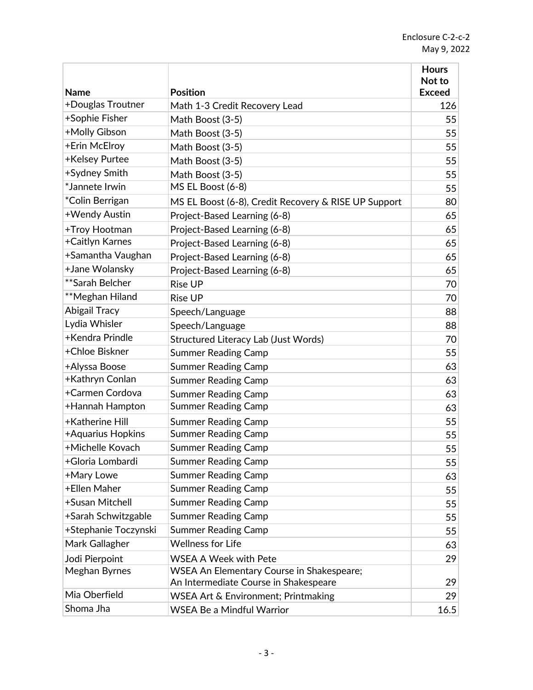|                      |                                                      | <b>Hours</b><br>Not to |
|----------------------|------------------------------------------------------|------------------------|
| <b>Name</b>          | <b>Position</b>                                      | <b>Exceed</b>          |
| +Douglas Troutner    | Math 1-3 Credit Recovery Lead                        | 126                    |
| +Sophie Fisher       | Math Boost (3-5)                                     | 55                     |
| +Molly Gibson        | Math Boost (3-5)                                     | 55                     |
| +Erin McElroy        | Math Boost (3-5)                                     | 55                     |
| +Kelsey Purtee       | Math Boost (3-5)                                     | 55                     |
| +Sydney Smith        | Math Boost (3-5)                                     | 55                     |
| *Jannete Irwin       | MS EL Boost (6-8)                                    | 55                     |
| *Colin Berrigan      | MS EL Boost (6-8), Credit Recovery & RISE UP Support | 80                     |
| +Wendy Austin        | Project-Based Learning (6-8)                         | 65                     |
| +Troy Hootman        | Project-Based Learning (6-8)                         | 65                     |
| +Caitlyn Karnes      | Project-Based Learning (6-8)                         | 65                     |
| +Samantha Vaughan    | Project-Based Learning (6-8)                         | 65                     |
| +Jane Wolansky       | Project-Based Learning (6-8)                         | 65                     |
| **Sarah Belcher      | <b>Rise UP</b>                                       | 70                     |
| **Meghan Hiland      | <b>Rise UP</b>                                       | 70                     |
| <b>Abigail Tracy</b> | Speech/Language                                      | 88                     |
| Lydia Whisler        | Speech/Language                                      | 88                     |
| +Kendra Prindle      | Structured Literacy Lab (Just Words)                 | 70                     |
| +Chloe Biskner       | <b>Summer Reading Camp</b>                           | 55                     |
| +Alyssa Boose        | <b>Summer Reading Camp</b>                           | 63                     |
| +Kathryn Conlan      | <b>Summer Reading Camp</b>                           | 63                     |
| +Carmen Cordova      | <b>Summer Reading Camp</b>                           | 63                     |
| +Hannah Hampton      | <b>Summer Reading Camp</b>                           | 63                     |
| +Katherine Hill      | <b>Summer Reading Camp</b>                           | 55                     |
| +Aquarius Hopkins    | <b>Summer Reading Camp</b>                           | 55                     |
| +Michelle Kovach     | <b>Summer Reading Camp</b>                           | 55                     |
| +Gloria Lombardi     | <b>Summer Reading Camp</b>                           | 55                     |
| +Mary Lowe           | <b>Summer Reading Camp</b>                           | 63                     |
| +Ellen Maher         | <b>Summer Reading Camp</b>                           | 55                     |
| +Susan Mitchell      | <b>Summer Reading Camp</b>                           | 55                     |
| +Sarah Schwitzgable  | <b>Summer Reading Camp</b>                           | 55                     |
| +Stephanie Toczynski | <b>Summer Reading Camp</b>                           | 55                     |
| Mark Gallagher       | <b>Wellness for Life</b>                             | 63                     |
| Jodi Pierpoint       | <b>WSEA A Week with Pete</b>                         | 29                     |
| Meghan Byrnes        | <b>WSEA An Elementary Course in Shakespeare;</b>     |                        |
|                      | An Intermediate Course in Shakespeare                | 29                     |
| Mia Oberfield        | WSEA Art & Environment; Printmaking                  | 29                     |
| Shoma Jha            | <b>WSEA Be a Mindful Warrior</b>                     | 16.5                   |